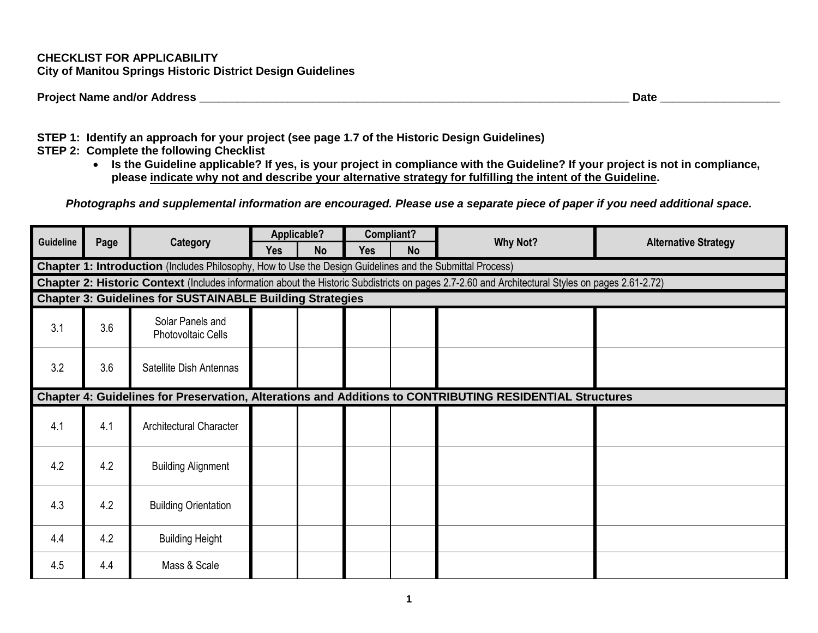## **CHECKLIST FOR APPLICABILITY City of Manitou Springs Historic District Design Guidelines**

| <b>Project Name and/or Address</b> | <b>Date</b> |  |
|------------------------------------|-------------|--|
|                                    |             |  |

**STEP 1: Identify an approach for your project (see page 1.7 of the Historic Design Guidelines)**

- **STEP 2: Complete the following Checklist**
	- **Is the Guideline applicable? If yes, is your project in compliance with the Guideline? If your project is not in compliance, please indicate why not and describe your alternative strategy for fulfilling the intent of the Guideline.**

*Photographs and supplemental information are encouraged. Please use a separate piece of paper if you need additional space.*

| Guideline |                                                                                                                                                         |                                               |            | Applicable? |     | Compliant? | <b>Why Not?</b>                                                                                          | <b>Alternative Strategy</b> |  |  |  |  |  |  |
|-----------|---------------------------------------------------------------------------------------------------------------------------------------------------------|-----------------------------------------------|------------|-------------|-----|------------|----------------------------------------------------------------------------------------------------------|-----------------------------|--|--|--|--|--|--|
|           | Page                                                                                                                                                    | Category                                      | <b>Yes</b> | <b>No</b>   | Yes | <b>No</b>  |                                                                                                          |                             |  |  |  |  |  |  |
|           | Chapter 1: Introduction (Includes Philosophy, How to Use the Design Guidelines and the Submittal Process)                                               |                                               |            |             |     |            |                                                                                                          |                             |  |  |  |  |  |  |
|           | <b>Chapter 2: Historic Context</b> (Includes information about the Historic Subdistricts on pages 2.7-2.60 and Architectural Styles on pages 2.61-2.72) |                                               |            |             |     |            |                                                                                                          |                             |  |  |  |  |  |  |
|           | <b>Chapter 3: Guidelines for SUSTAINABLE Building Strategies</b>                                                                                        |                                               |            |             |     |            |                                                                                                          |                             |  |  |  |  |  |  |
| 3.1       | 3.6                                                                                                                                                     | Solar Panels and<br><b>Photovoltaic Cells</b> |            |             |     |            |                                                                                                          |                             |  |  |  |  |  |  |
| 3.2       | 3.6                                                                                                                                                     | Satellite Dish Antennas                       |            |             |     |            |                                                                                                          |                             |  |  |  |  |  |  |
|           |                                                                                                                                                         |                                               |            |             |     |            | Chapter 4: Guidelines for Preservation, Alterations and Additions to CONTRIBUTING RESIDENTIAL Structures |                             |  |  |  |  |  |  |
| 4.1       | 4.1                                                                                                                                                     | <b>Architectural Character</b>                |            |             |     |            |                                                                                                          |                             |  |  |  |  |  |  |
| 4.2       | 4.2                                                                                                                                                     | <b>Building Alignment</b>                     |            |             |     |            |                                                                                                          |                             |  |  |  |  |  |  |
| 4.3       | 4.2                                                                                                                                                     | <b>Building Orientation</b>                   |            |             |     |            |                                                                                                          |                             |  |  |  |  |  |  |
| 4.4       | 4.2                                                                                                                                                     | <b>Building Height</b>                        |            |             |     |            |                                                                                                          |                             |  |  |  |  |  |  |
| 4.5       | 4.4                                                                                                                                                     | Mass & Scale                                  |            |             |     |            |                                                                                                          |                             |  |  |  |  |  |  |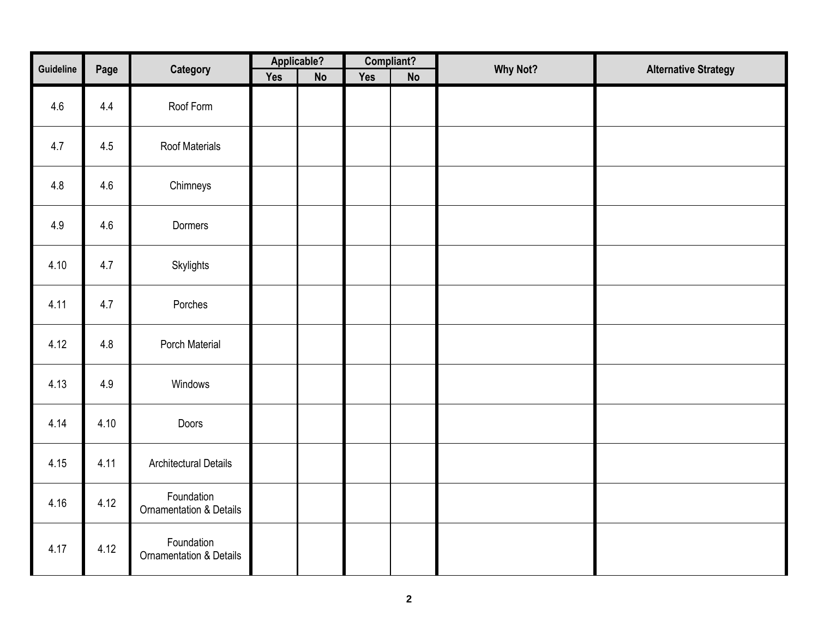| Guideline |      |                                                  |            | Applicable? | Compliant? |    |                 |                             |
|-----------|------|--------------------------------------------------|------------|-------------|------------|----|-----------------|-----------------------------|
|           | Page | Category                                         | <b>Yes</b> | No          | Yes        | No | <b>Why Not?</b> | <b>Alternative Strategy</b> |
| 4.6       | 4.4  | Roof Form                                        |            |             |            |    |                 |                             |
| 4.7       | 4.5  | <b>Roof Materials</b>                            |            |             |            |    |                 |                             |
| 4.8       | 4.6  | Chimneys                                         |            |             |            |    |                 |                             |
| 4.9       | 4.6  | Dormers                                          |            |             |            |    |                 |                             |
| 4.10      | 4.7  | Skylights                                        |            |             |            |    |                 |                             |
| 4.11      | 4.7  | Porches                                          |            |             |            |    |                 |                             |
| 4.12      | 4.8  | Porch Material                                   |            |             |            |    |                 |                             |
| 4.13      | 4.9  | Windows                                          |            |             |            |    |                 |                             |
| 4.14      | 4.10 | Doors                                            |            |             |            |    |                 |                             |
| 4.15      | 4.11 | <b>Architectural Details</b>                     |            |             |            |    |                 |                             |
| 4.16      | 4.12 | Foundation<br><b>Ornamentation &amp; Details</b> |            |             |            |    |                 |                             |
| 4.17      | 4.12 | Foundation<br><b>Ornamentation &amp; Details</b> |            |             |            |    |                 |                             |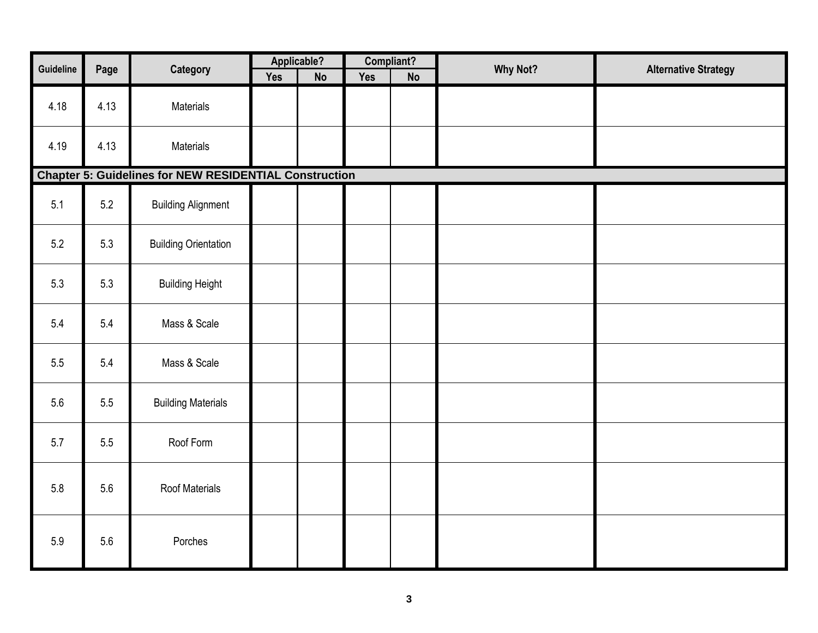| Guideline | Page | Category                                                      |     | Applicable? | Compliant? |    | <b>Why Not?</b> | <b>Alternative Strategy</b> |
|-----------|------|---------------------------------------------------------------|-----|-------------|------------|----|-----------------|-----------------------------|
|           |      |                                                               | Yes | <b>No</b>   | <b>Yes</b> | No |                 |                             |
| 4.18      | 4.13 | Materials                                                     |     |             |            |    |                 |                             |
| 4.19      | 4.13 | Materials                                                     |     |             |            |    |                 |                             |
|           |      | <b>Chapter 5: Guidelines for NEW RESIDENTIAL Construction</b> |     |             |            |    |                 |                             |
| 5.1       | 5.2  | <b>Building Alignment</b>                                     |     |             |            |    |                 |                             |
| 5.2       | 5.3  | <b>Building Orientation</b>                                   |     |             |            |    |                 |                             |
| 5.3       | 5.3  | <b>Building Height</b>                                        |     |             |            |    |                 |                             |
| 5.4       | 5.4  | Mass & Scale                                                  |     |             |            |    |                 |                             |
| 5.5       | 5.4  | Mass & Scale                                                  |     |             |            |    |                 |                             |
| 5.6       | 5.5  | <b>Building Materials</b>                                     |     |             |            |    |                 |                             |
| 5.7       | 5.5  | Roof Form                                                     |     |             |            |    |                 |                             |
| 5.8       | 5.6  | Roof Materials                                                |     |             |            |    |                 |                             |
| 5.9       | 5.6  | Porches                                                       |     |             |            |    |                 |                             |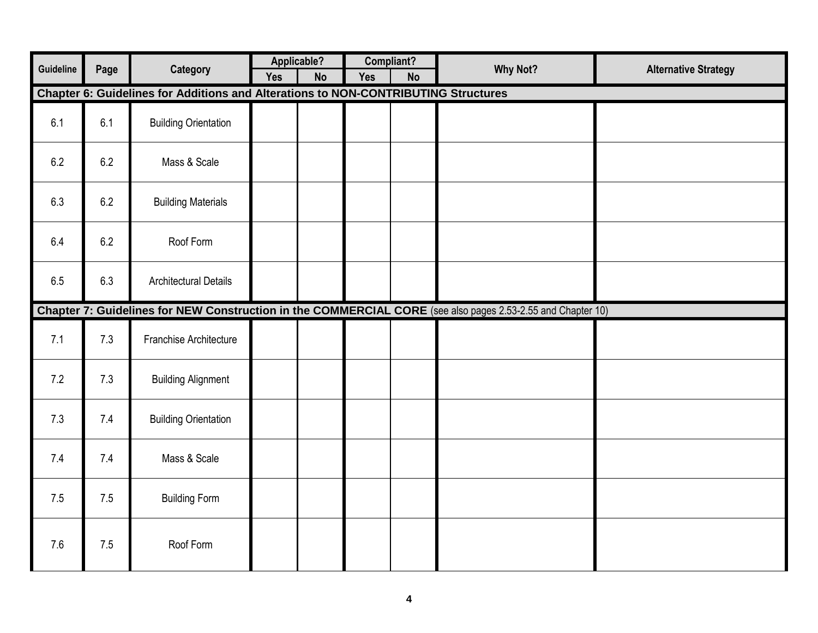|           |      |                                                                                    |     | Applicable? |            | Compliant? |                                                                                                             |                             |
|-----------|------|------------------------------------------------------------------------------------|-----|-------------|------------|------------|-------------------------------------------------------------------------------------------------------------|-----------------------------|
| Guideline | Page | <b>Category</b>                                                                    | Yes | <b>No</b>   | <b>Yes</b> | <b>No</b>  | <b>Why Not?</b>                                                                                             | <b>Alternative Strategy</b> |
|           |      | Chapter 6: Guidelines for Additions and Alterations to NON-CONTRIBUTING Structures |     |             |            |            |                                                                                                             |                             |
| 6.1       | 6.1  | <b>Building Orientation</b>                                                        |     |             |            |            |                                                                                                             |                             |
| 6.2       | 6.2  | Mass & Scale                                                                       |     |             |            |            |                                                                                                             |                             |
| 6.3       | 6.2  | <b>Building Materials</b>                                                          |     |             |            |            |                                                                                                             |                             |
| 6.4       | 6.2  | Roof Form                                                                          |     |             |            |            |                                                                                                             |                             |
| 6.5       | 6.3  | <b>Architectural Details</b>                                                       |     |             |            |            |                                                                                                             |                             |
|           |      |                                                                                    |     |             |            |            | Chapter 7: Guidelines for NEW Construction in the COMMERCIAL CORE (see also pages 2.53-2.55 and Chapter 10) |                             |
| 7.1       | 7.3  | Franchise Architecture                                                             |     |             |            |            |                                                                                                             |                             |
| 7.2       | 7.3  | <b>Building Alignment</b>                                                          |     |             |            |            |                                                                                                             |                             |
| 7.3       | 7.4  | <b>Building Orientation</b>                                                        |     |             |            |            |                                                                                                             |                             |
| 7.4       | 7.4  | Mass & Scale                                                                       |     |             |            |            |                                                                                                             |                             |
| 7.5       | 7.5  | <b>Building Form</b>                                                               |     |             |            |            |                                                                                                             |                             |
| 7.6       | 7.5  | Roof Form                                                                          |     |             |            |            |                                                                                                             |                             |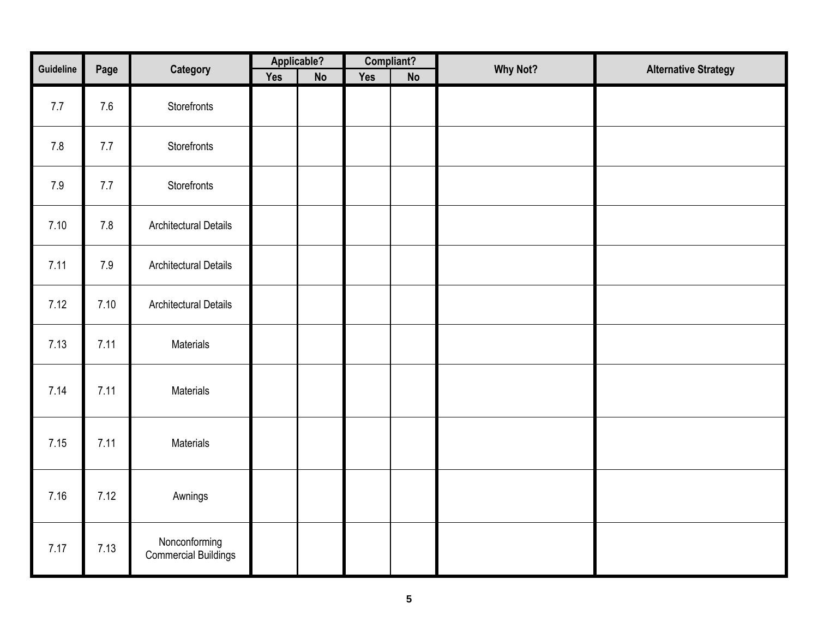| Guideline |      |                                       |     | Applicable? |            | Compliant?    | Why Not? |                             |
|-----------|------|---------------------------------------|-----|-------------|------------|---------------|----------|-----------------------------|
|           | Page | Category                              | Yes | <b>No</b>   | <b>Yes</b> | $\mathsf{No}$ |          | <b>Alternative Strategy</b> |
| 7.7       | 7.6  | Storefronts                           |     |             |            |               |          |                             |
| 7.8       | 7.7  | Storefronts                           |     |             |            |               |          |                             |
| 7.9       | 7.7  | Storefronts                           |     |             |            |               |          |                             |
| 7.10      | 7.8  | <b>Architectural Details</b>          |     |             |            |               |          |                             |
| 7.11      | 7.9  | <b>Architectural Details</b>          |     |             |            |               |          |                             |
| 7.12      | 7.10 | <b>Architectural Details</b>          |     |             |            |               |          |                             |
| 7.13      | 7.11 | Materials                             |     |             |            |               |          |                             |
| 7.14      | 7.11 | Materials                             |     |             |            |               |          |                             |
| 7.15      | 7.11 | Materials                             |     |             |            |               |          |                             |
| 7.16      | 7.12 | Awnings                               |     |             |            |               |          |                             |
| 7.17      | 7.13 | Nonconforming<br>Commercial Buildings |     |             |            |               |          |                             |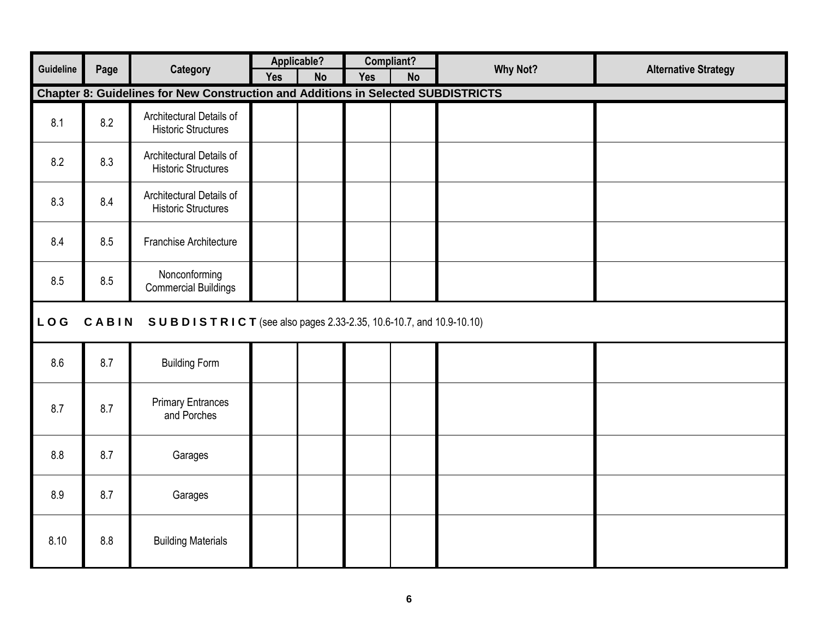| Guideline  |       |                                                                                          |            | Applicable? |            | Compliant? | <b>Why Not?</b> |                             |
|------------|-------|------------------------------------------------------------------------------------------|------------|-------------|------------|------------|-----------------|-----------------------------|
|            | Page  | <b>Category</b>                                                                          | <b>Yes</b> | <b>No</b>   | <b>Yes</b> | <b>No</b>  |                 | <b>Alternative Strategy</b> |
|            |       | <b>Chapter 8: Guidelines for New Construction and Additions in Selected SUBDISTRICTS</b> |            |             |            |            |                 |                             |
| 8.1        | 8.2   | Architectural Details of<br><b>Historic Structures</b>                                   |            |             |            |            |                 |                             |
| 8.2        | 8.3   | Architectural Details of<br><b>Historic Structures</b>                                   |            |             |            |            |                 |                             |
| 8.3        | 8.4   | Architectural Details of<br><b>Historic Structures</b>                                   |            |             |            |            |                 |                             |
| 8.4        | 8.5   | Franchise Architecture                                                                   |            |             |            |            |                 |                             |
| 8.5        | 8.5   | Nonconforming<br><b>Commercial Buildings</b>                                             |            |             |            |            |                 |                             |
| <b>LOG</b> | CABIN | SUBDISTRICT (see also pages 2.33-2.35, 10.6-10.7, and 10.9-10.10)                        |            |             |            |            |                 |                             |
| 8.6        | 8.7   | <b>Building Form</b>                                                                     |            |             |            |            |                 |                             |
| 8.7        | 8.7   | <b>Primary Entrances</b><br>and Porches                                                  |            |             |            |            |                 |                             |
| 8.8        | 8.7   | Garages                                                                                  |            |             |            |            |                 |                             |
| 8.9        | 8.7   | Garages                                                                                  |            |             |            |            |                 |                             |
| 8.10       | 8.8   | <b>Building Materials</b>                                                                |            |             |            |            |                 |                             |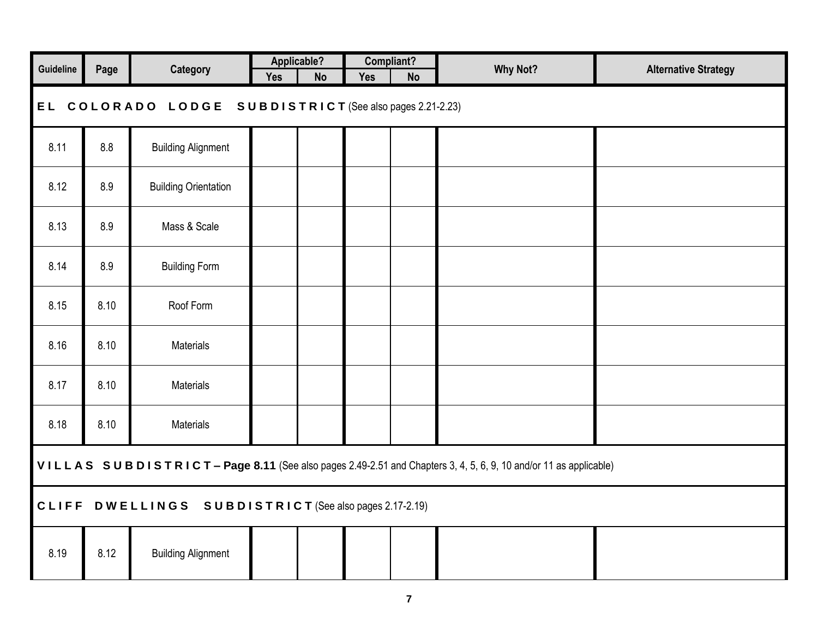| Guideline | Page                                                                                                           | <b>Category</b>             |            | Applicable? |            | Compliant? | <b>Why Not?</b> | <b>Alternative Strategy</b> |  |  |  |  |  |  |
|-----------|----------------------------------------------------------------------------------------------------------------|-----------------------------|------------|-------------|------------|------------|-----------------|-----------------------------|--|--|--|--|--|--|
|           |                                                                                                                |                             | <b>Yes</b> | <b>No</b>   | <b>Yes</b> | <b>No</b>  |                 |                             |  |  |  |  |  |  |
|           | EL COLORADO LODGE SUBDISTRICT (See also pages 2.21-2.23)                                                       |                             |            |             |            |            |                 |                             |  |  |  |  |  |  |
| 8.11      | 8.8                                                                                                            | <b>Building Alignment</b>   |            |             |            |            |                 |                             |  |  |  |  |  |  |
| 8.12      | 8.9                                                                                                            | <b>Building Orientation</b> |            |             |            |            |                 |                             |  |  |  |  |  |  |
| 8.13      | 8.9                                                                                                            | Mass & Scale                |            |             |            |            |                 |                             |  |  |  |  |  |  |
| 8.14      | 8.9                                                                                                            | <b>Building Form</b>        |            |             |            |            |                 |                             |  |  |  |  |  |  |
| 8.15      | 8.10                                                                                                           | Roof Form                   |            |             |            |            |                 |                             |  |  |  |  |  |  |
| 8.16      | 8.10                                                                                                           | Materials                   |            |             |            |            |                 |                             |  |  |  |  |  |  |
| 8.17      | 8.10                                                                                                           | Materials                   |            |             |            |            |                 |                             |  |  |  |  |  |  |
| 8.18      | 8.10                                                                                                           | Materials                   |            |             |            |            |                 |                             |  |  |  |  |  |  |
|           | VILLAS SUBDISTRICT-Page 8.11 (See also pages 2.49-2.51 and Chapters 3, 4, 5, 6, 9, 10 and/or 11 as applicable) |                             |            |             |            |            |                 |                             |  |  |  |  |  |  |
|           | CLIFF DWELLINGS SUBDISTRICT (See also pages 2.17-2.19)                                                         |                             |            |             |            |            |                 |                             |  |  |  |  |  |  |
| 8.19      | 8.12                                                                                                           | <b>Building Alignment</b>   |            |             |            |            |                 |                             |  |  |  |  |  |  |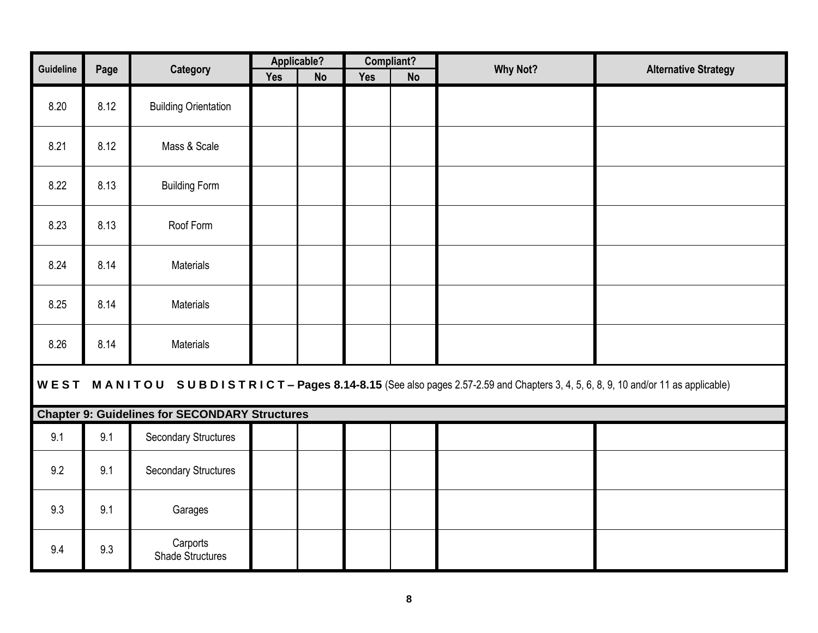| Guideline | Page | Category                                              |            | Applicable? |            | Compliant? | <b>Why Not?</b>                                                                                                               | <b>Alternative Strategy</b> |
|-----------|------|-------------------------------------------------------|------------|-------------|------------|------------|-------------------------------------------------------------------------------------------------------------------------------|-----------------------------|
|           |      |                                                       | <b>Yes</b> | <b>No</b>   | <b>Yes</b> | <b>No</b>  |                                                                                                                               |                             |
| 8.20      | 8.12 | <b>Building Orientation</b>                           |            |             |            |            |                                                                                                                               |                             |
| 8.21      | 8.12 | Mass & Scale                                          |            |             |            |            |                                                                                                                               |                             |
| 8.22      | 8.13 | <b>Building Form</b>                                  |            |             |            |            |                                                                                                                               |                             |
| 8.23      | 8.13 | Roof Form                                             |            |             |            |            |                                                                                                                               |                             |
| 8.24      | 8.14 | Materials                                             |            |             |            |            |                                                                                                                               |                             |
| 8.25      | 8.14 | Materials                                             |            |             |            |            |                                                                                                                               |                             |
| 8.26      | 8.14 | Materials                                             |            |             |            |            |                                                                                                                               |                             |
|           |      |                                                       |            |             |            |            | WEST MANITOU SUBDISTRICT-Pages 8.14-8.15 (See also pages 2.57-2.59 and Chapters 3, 4, 5, 6, 8, 9, 10 and/or 11 as applicable) |                             |
|           |      | <b>Chapter 9: Guidelines for SECONDARY Structures</b> |            |             |            |            |                                                                                                                               |                             |
| 9.1       | 9.1  | <b>Secondary Structures</b>                           |            |             |            |            |                                                                                                                               |                             |
| 9.2       | 9.1  | <b>Secondary Structures</b>                           |            |             |            |            |                                                                                                                               |                             |
| 9.3       | 9.1  | Garages                                               |            |             |            |            |                                                                                                                               |                             |
| 9.4       | 9.3  | Carports<br><b>Shade Structures</b>                   |            |             |            |            |                                                                                                                               |                             |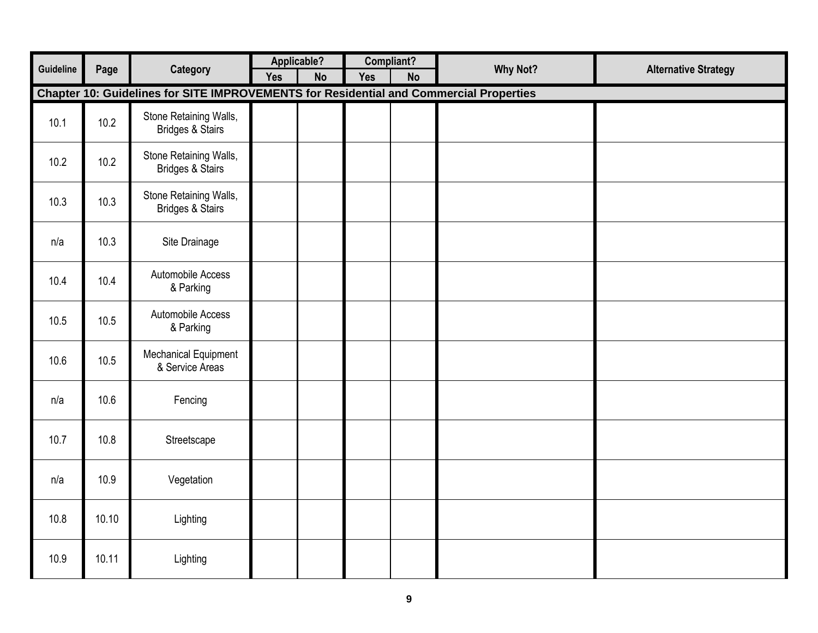|           |       |                                                                                        | Applicable? |           |            | Compliant? |                 |                             |
|-----------|-------|----------------------------------------------------------------------------------------|-------------|-----------|------------|------------|-----------------|-----------------------------|
| Guideline | Page  | Category                                                                               | <b>Yes</b>  | <b>No</b> | <b>Yes</b> | <b>No</b>  | <b>Why Not?</b> | <b>Alternative Strategy</b> |
|           |       | Chapter 10: Guidelines for SITE IMPROVEMENTS for Residential and Commercial Properties |             |           |            |            |                 |                             |
| 10.1      | 10.2  | Stone Retaining Walls,<br><b>Bridges &amp; Stairs</b>                                  |             |           |            |            |                 |                             |
| 10.2      | 10.2  | Stone Retaining Walls,<br><b>Bridges &amp; Stairs</b>                                  |             |           |            |            |                 |                             |
| 10.3      | 10.3  | Stone Retaining Walls,<br><b>Bridges &amp; Stairs</b>                                  |             |           |            |            |                 |                             |
| n/a       | 10.3  | Site Drainage                                                                          |             |           |            |            |                 |                             |
| 10.4      | 10.4  | Automobile Access<br>& Parking                                                         |             |           |            |            |                 |                             |
| 10.5      | 10.5  | Automobile Access<br>& Parking                                                         |             |           |            |            |                 |                             |
| 10.6      | 10.5  | <b>Mechanical Equipment</b><br>& Service Areas                                         |             |           |            |            |                 |                             |
| n/a       | 10.6  | Fencing                                                                                |             |           |            |            |                 |                             |
| 10.7      | 10.8  | Streetscape                                                                            |             |           |            |            |                 |                             |
| n/a       | 10.9  | Vegetation                                                                             |             |           |            |            |                 |                             |
| 10.8      | 10.10 | Lighting                                                                               |             |           |            |            |                 |                             |
| 10.9      | 10.11 | Lighting                                                                               |             |           |            |            |                 |                             |